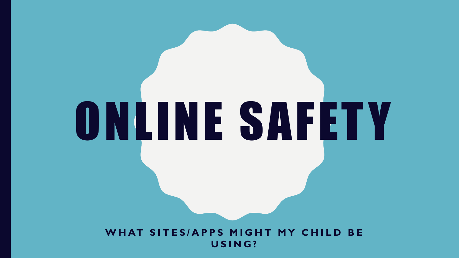# **WHAT SITES/APPS MIGHT MY CHILD BE U S I N G ?**

ONLINE SAFET Y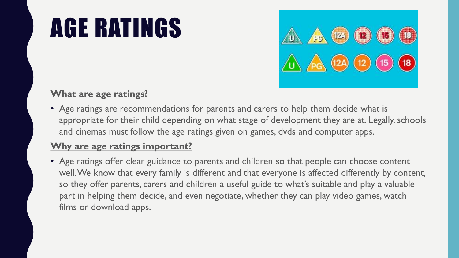# AGE RATINGS



#### **What are age ratings?**

• Age ratings are recommendations for parents and carers to help them decide what is appropriate for their child depending on what stage of development they are at. Legally, schools and cinemas must follow the age ratings given on games, dvds and computer apps.

#### **Why are age ratings important?**

• Age ratings offer clear guidance to parents and children so that people can choose content well. We know that every family is different and that everyone is affected differently by content, so they offer parents, carers and children a useful guide to what's suitable and play a valuable part in helping them decide, and even negotiate, whether they can play video games, watch films or download apps.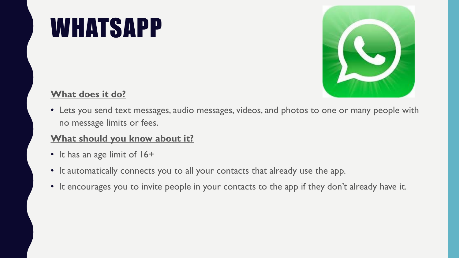## WHATSAPP



#### **What does it do?**

• Lets you send text messages, audio messages, videos, and photos to one or many people with no message limits or fees.

- It has an age limit of 16+
- It automatically connects you to all your contacts that already use the app.
- It encourages you to invite people in your contacts to the app if they don't already have it.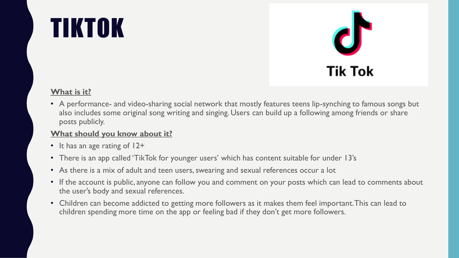# TIKTOK



#### **What is it?**

• A performance- and video-sharing social network that mostly features teens lip-synching to famous songs but also includes some original song writing and singing. Users can build up a following among friends or share posts publicly.

- It has an age rating of 12+
- There is an app called 'TikTok for younger users' which has content suitable for under 13's
- As there is a mix of adult and teen users, swearing and sexual references occur a lot
- If the account is public, anyone can follow you and comment on your posts which can lead to comments about the user's body and sexual references.
- Children can become addicted to getting more followers as it makes them feel important. This can lead to children spending more time on the app or feeling bad if they don't get more followers.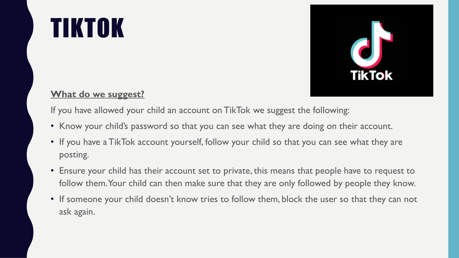# TIKTOK



#### **What do we suggest?**

If you have allowed your child an account on TikTok we suggest the following:

- Know your child's password so that you can see what they are doing on their account.
- If you have a TikTok account yourself, follow your child so that you can see what they are posting.
- Ensure your child has their account set to private, this means that people have to request to follow them. Your child can then make sure that they are only followed by people they know.
- If someone your child doesn't know tries to follow them, block the user so that they can not ask again.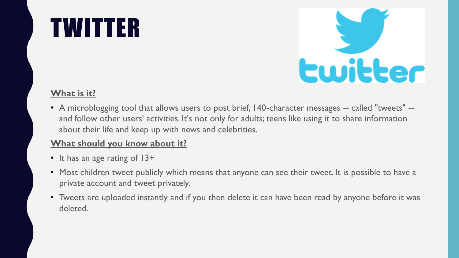# TWITTER



#### **What is it?**

• A microblogging tool that allows users to post brief, 140-character messages -- called "tweets" - and follow other users' activities. It's not only for adults; teens like using it to share information about their life and keep up with news and celebrities.

- It has an age rating of 13+
- Most children tweet publicly which means that anyone can see their tweet. It is possible to have a private account and tweet privately.
- Tweets are uploaded instantly and if you then delete it can have been read by anyone before it was deleted.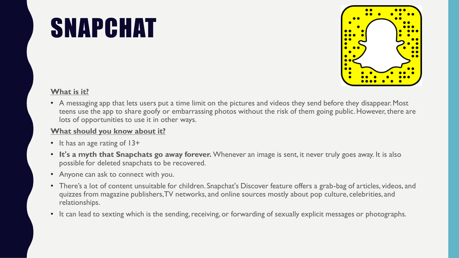# SNAPCHAT



#### **What is it?**

• A messaging app that lets users put a time limit on the pictures and videos they send before they disappear. Most teens use the app to share goofy or embarrassing photos without the risk of them going public. However, there are lots of opportunities to use it in other ways.

- It has an age rating of 13+
- **It's a myth that Snapchats go away forever.** Whenever an image is sent, it never truly goes away. It is also possible for deleted snapchats to be recovered.
- Anyone can ask to connect with you.
- There's a lot of content unsuitable for children. Snapchat's Discover feature offers a grab-bag of articles, videos, and quizzes from magazine publishers, TV networks, and online sources mostly about pop culture, celebrities, and relationships.
- It can lead to sexting which is the sending, receiving, or forwarding of sexually explicit messages or photographs.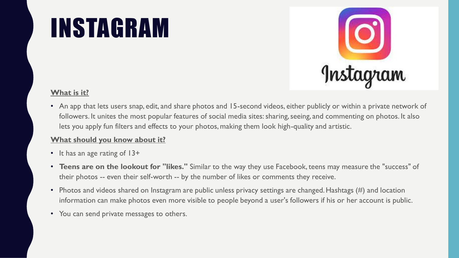# INSTAGRAM



#### **What is it?**

• An app that lets users snap, edit, and share photos and 15-second videos, either publicly or within a private network of followers. It unites the most popular features of social media sites: sharing, seeing, and commenting on photos. It also lets you apply fun filters and effects to your photos, making them look high-quality and artistic.

- It has an age rating of 13+
- **Teens are on the lookout for "likes."** Similar to the way they use Facebook, teens may measure the "success" of their photos -- even their self-worth -- by the number of likes or comments they receive.
- Photos and videos shared on Instagram are public unless privacy settings are changed. Hashtags (#) and location information can make photos even more visible to people beyond a user's followers if his or her account is public.
- You can send private messages to others.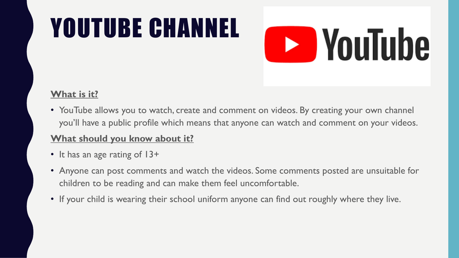# YOUTUBE CHANNEL

# **E** YouTube

#### **What is it?**

• YouTube allows you to watch, create and comment on videos. By creating your own channel you'll have a public profile which means that anyone can watch and comment on your videos.

- It has an age rating of 13+
- Anyone can post comments and watch the videos. Some comments posted are unsuitable for children to be reading and can make them feel uncomfortable.
- If your child is wearing their school uniform anyone can find out roughly where they live.